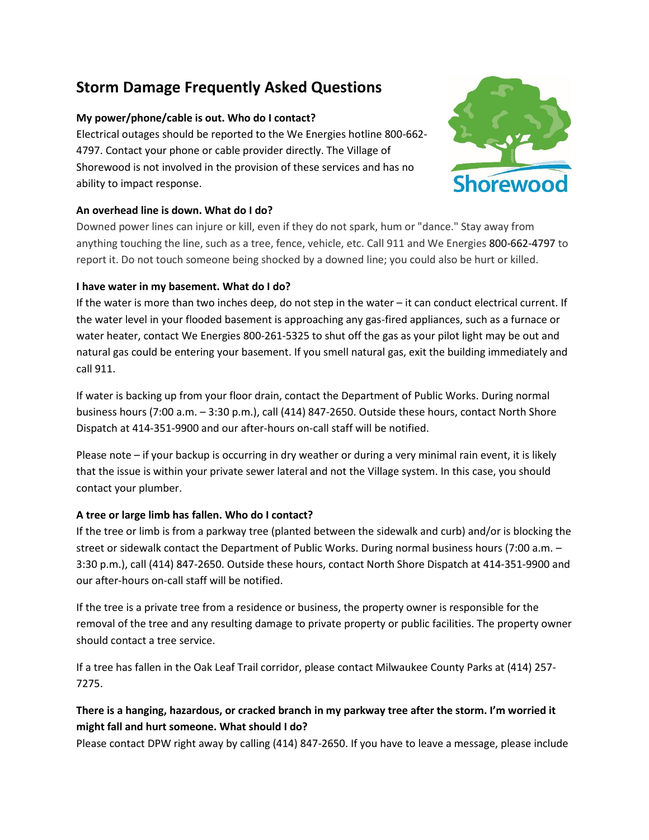# **Storm Damage Frequently Asked Questions**

# **My power/phone/cable is out. Who do I contact?**

Electrical outages should be reported to the We Energies hotline 800-662- 4797. Contact your phone or cable provider directly. The Village of Shorewood is not involved in the provision of these services and has no ability to impact response.



## **An overhead line is down. What do I do?**

Downed power lines can injure or kill, even if they do not spark, hum or "dance." Stay away from anything touching the line, such as a tree, fence, vehicle, etc. Call 911 and We Energies 800-662-4797 to report it. Do not touch someone being shocked by a downed line; you could also be hurt or killed.

## **I have water in my basement. What do I do?**

If the water is more than two inches deep, do not step in the water – it can conduct electrical current. If the water level in your flooded basement is approaching any gas-fired appliances, such as a furnace or water heater, contact We Energies 800-261-5325 to shut off the gas as your pilot light may be out and natural gas could be entering your basement. If you smell natural gas, exit the building immediately and call 911.

If water is backing up from your floor drain, contact the Department of Public Works. During normal business hours (7:00 a.m. – 3:30 p.m.), call (414) 847-2650. Outside these hours, contact North Shore Dispatch at 414-351-9900 and our after-hours on-call staff will be notified.

Please note – if your backup is occurring in dry weather or during a very minimal rain event, it is likely that the issue is within your private sewer lateral and not the Village system. In this case, you should contact your plumber.

## **A tree or large limb has fallen. Who do I contact?**

If the tree or limb is from a parkway tree (planted between the sidewalk and curb) and/or is blocking the street or sidewalk contact the Department of Public Works. During normal business hours (7:00 a.m. – 3:30 p.m.), call (414) 847-2650. Outside these hours, contact North Shore Dispatch at 414-351-9900 and our after-hours on-call staff will be notified.

If the tree is a private tree from a residence or business, the property owner is responsible for the removal of the tree and any resulting damage to private property or public facilities. The property owner should contact a tree service.

If a tree has fallen in the Oak Leaf Trail corridor, please contact Milwaukee County Parks at (414) 257- 7275.

# **There is a hanging, hazardous, or cracked branch in my parkway tree after the storm. I'm worried it might fall and hurt someone. What should I do?**

Please contact DPW right away by calling (414) 847-2650. If you have to leave a message, please include